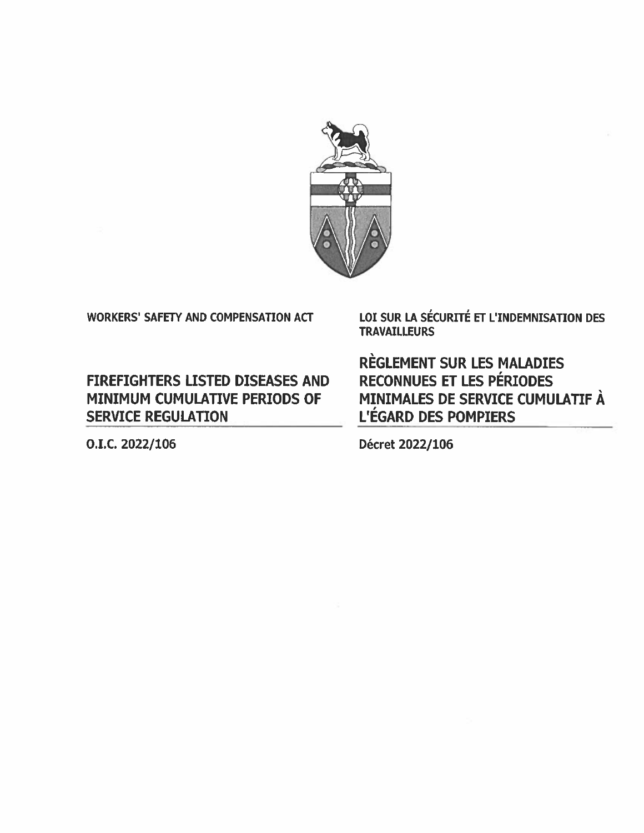

## WORKERS' SAFETY AND COMPENSATION ACT

FIREFIGHTERS LISTED DISEASES AND MINIMUM CUMULATIVE PERIODS OF SERVICE REGULATION

LOI SUR LA SÉCURITÉ ET L'INDEMNISATION DES **TRAVAILLEURS** 

REGLEMENT SUR LES MALADIES RECONNUES ET LES PÉRIODES MINIMALES DE SERVICE CUMULATIF À L'ÉGARD DES POMPIERS

O.I.C. 2022/106 Décret 2022/106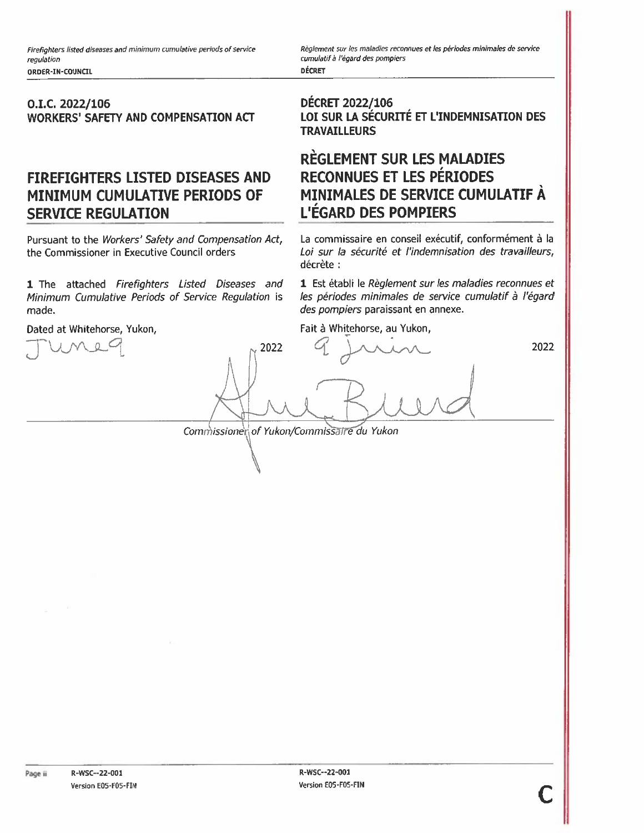#### O.I.C- 2022/106 WORKERS' SAFETY AND COMPENSATION ACT

# FIREFIGHTERS LISTED DISEASES AND MINIMUM CUMULATIVE PERIODS OF SERVICE REGULATION

Pursuant to the Workers' Safety and Compensation Act, the Commissioner in Executive Council orders

made. 1 The attached Firefighters Listed Diseases and Minimum Cumulative Periods of Service Regulation is

Dated at Whitehorse, Yukon,

Règlement sur les maladies reconnues et les périodes minimales de service cumulatif à l'égard des pompiers **DÉCRET** 

DECRET 2022/106 LOI SUR LA SÉCURITÉ ET L'INDEMNISATION DES **TRAVAILLEURS** 

## REGLEMENT SUR LES MALADIES RECONNUES ET LES PÉRIODES MINIMALES DE SERVICE CUMULATIF A L'EGARD DES POMPIERS

La commissaire en conseil exécutif, conformément à la Loi sur la sécurité et l'indemnisation des travailleurs, décrète

1 Est établi le Règlement sur les maladies reconnues et les périodes minimales de service cumulatif à l'égard des pompiers paraissant en annexe.

Fait à Whitehorse, au Yukon,

2022

Commissionerof Yukon/Commissaire du Yukon

2022

 $\bigwedge$  $\angle$   $\vee$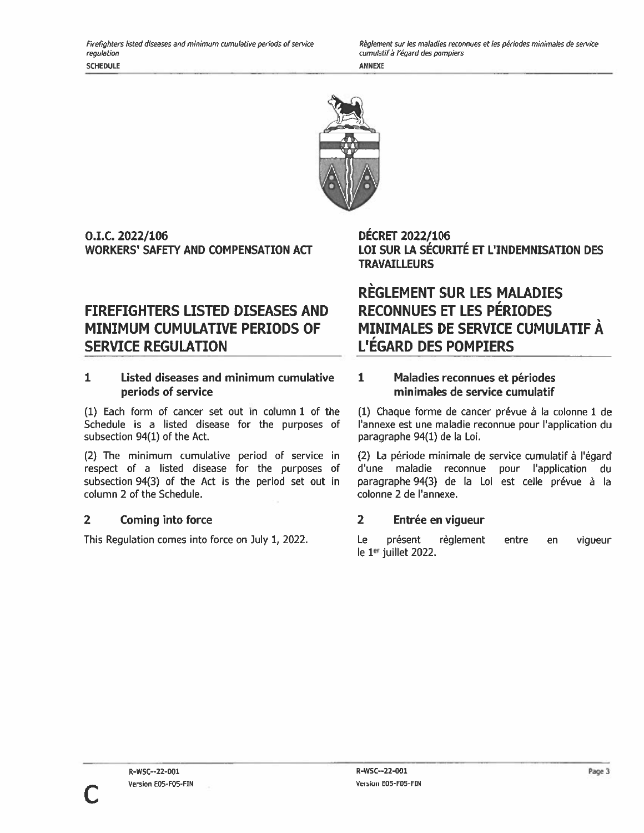Règlement sur les maladies reconnues et les périodes minimales de service cumulatif à l'égard des pompiers **ANNEXE** 



O.LC. 2022/106 WORKERS' SAFETY AND COMPENSATION ACT

# FIREFIGHTERS LISTED DISEASES AND MINIMUM CUMULATIVE PERIODS OF SERVICE REGULATION

#### 1 Listed diseases and minimum cumulative periods of service

(1) Each form of cancer set out in Column 1 of the Schedule is <sup>a</sup> listed disease for the purposes of subsection 94(1) of the Act.

(2) The minimum cumulative period of service in respec<sup>t</sup> of <sup>a</sup> listed disease for the purposes of subsection 94(3) of the Act is the period set out in column 2 of the Schedule.

### 2 Coming into force

This Regulation comes into force on July 1, 2022.

DECRET 2022/106 LOl SUR LA SECURITE Er L'INDEMNISATION DES **TRAVAILLEURS** 

# REGLEMENT SUR LES MALADIES RECONNUES ET LES PERIODES MINIMALES DE SERVICE CUMULATIF A L'EGARD DES POMPIERS

### 1 Maladies reconnues et périodes minimales de service cumulatif

(1) Chaque forme de cancer prévue à la colonne 1 de l'annexe est une maladie reconnue pour l'application du paragraphe 94(1) de Ia Loi.

(2) La période minimale de service cumulatif à l'égard d'une maladie reconnue pour l'application du paragraphe 94(3) de la Loi est celle prévue à la colonne 2 de l'annexe.

## 2 Entrée en vigueur

Le présent règlement entre en vigueur le 1er juillet 2022.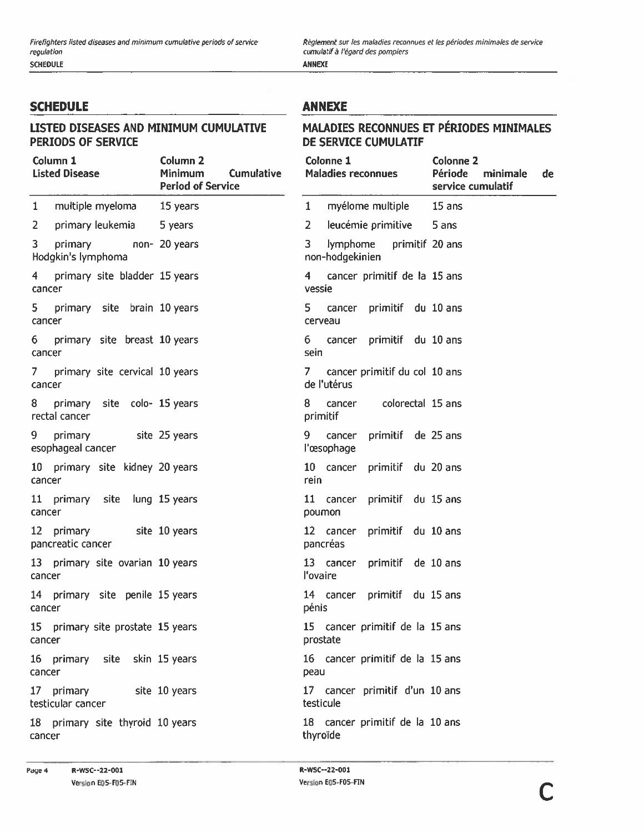Règlement sur les maladies reconnues et les périodes minimales de service cumulatif à l'égard des pompiers ANNEXE

**SCHEDULE** 

#### LISTED DISEASES AND MINIMUM CUMULATIVE PERIODS OF SERVICE

## **ANNEXE**

#### MALADIES RECONNUES ET PÉRIODES MINIMALES DE SERVICE CUMULATIF

| Column 1<br><b>Listed Disease</b>                         | Column <sub>2</sub><br>Minimum<br><b>Cumulative</b><br><b>Period of Service</b> | Colonne 1<br><b>Maladies reconnues</b>               | <b>Colonne 2</b><br>Période<br>minimale<br>de<br>service cumulatif |
|-----------------------------------------------------------|---------------------------------------------------------------------------------|------------------------------------------------------|--------------------------------------------------------------------|
| multiple myeloma 15 years<br>$\mathbf{1}$                 |                                                                                 | myélome multiple<br>$\mathbf{1}$                     | 15 ans                                                             |
| $\overline{2}$<br>primary leukemia                        | 5 years                                                                         | leucémie primitive<br>$\mathbf{2}$                   | 5 ans                                                              |
| 3<br>non- 20 years<br>primary<br>Hodgkin's lymphoma       |                                                                                 | primitif 20 ans<br>3.<br>lymphome<br>non-hodgekinien |                                                                    |
| primary site bladder 15 years<br>4 <sup>1</sup><br>cancer |                                                                                 | cancer primitif de la 15 ans<br>4<br>vessie          |                                                                    |
| 5 primary site brain 10 years<br>cancer                   |                                                                                 | 5.<br>cancer primitif du 10 ans<br>cerveau           |                                                                    |
| 6 primary site breast 10 years<br>cancer                  |                                                                                 | 6 cancer primitif du 10 ans<br>sein                  |                                                                    |
| 7 primary site cervical 10 years<br>cancer                |                                                                                 | cancer primitif du col 10 ans<br>7.<br>de l'utérus   |                                                                    |
| 8 primary site colo- 15 years<br>rectal cancer            |                                                                                 | cancer colorectal 15 ans<br>8.<br>primitif           |                                                                    |
| 9.<br>primary<br>site 25 years<br>esophageal cancer       |                                                                                 | primitif de 25 ans<br>9.<br>cancer<br>l'œsophage     |                                                                    |
| 10 primary site kidney 20 years<br>cancer                 |                                                                                 | 10 cancer primitif du 20 ans<br>rein                 |                                                                    |
| 11 primary site lung 15 years<br>cancer                   |                                                                                 | 11 cancer primitif du 15 ans<br>poumon               |                                                                    |
| 12 primary site 10 years<br>pancreatic cancer             |                                                                                 | 12 cancer primitif du 10 ans<br>pancréas             |                                                                    |
| 13 primary site ovarian 10 years<br>cancer                |                                                                                 | 13 cancer primitif de 10 ans<br>l'ovaire             |                                                                    |
| 14 primary site penile 15 years<br>cancer                 |                                                                                 | 14 cancer primitif du 15 ans<br>pénis                |                                                                    |
| 15 primary site prostate 15 years<br>cancer               |                                                                                 | 15 cancer primitif de la 15 ans<br>prostate          |                                                                    |
| 16 primary site skin 15 years<br>cancer                   |                                                                                 | 16 cancer primitif de la 15 ans<br>peau              |                                                                    |
| 17 primary<br>testicular cancer                           | site 10 years                                                                   | 17 cancer primitif d'un 10 ans<br>testicule          |                                                                    |
| 18 primary site thyroid 10 years<br>cancer                |                                                                                 | 18 cancer primitif de la 10 ans<br>thyroïde          |                                                                    |